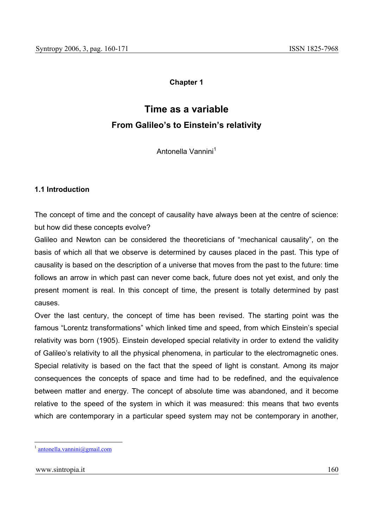## **Chapter 1**

# **Time as a variable From Galileo's to Einstein's relativity**

Antonella Vannini<sup>1</sup>

#### **1.1 Introduction**

The concept of time and the concept of causality have always been at the centre of science: but how did these concepts evolve?

Galileo and Newton can be considered the theoreticians of "mechanical causality", on the basis of which all that we observe is determined by causes placed in the past. This type of causality is based on the description of a universe that moves from the past to the future: time follows an arrow in which past can never come back, future does not yet exist, and only the present moment is real. In this concept of time, the present is totally determined by past causes.

Over the last century, the concept of time has been revised. The starting point was the famous "Lorentz transformations" which linked time and speed, from which Einstein's special relativity was born (1905). Einstein developed special relativity in order to extend the validity of Galileo's relativity to all the physical phenomena, in particular to the electromagnetic ones. Special relativity is based on the fact that the speed of light is constant. Among its major consequences the concepts of space and time had to be redefined, and the equivalence between matter and energy. The concept of absolute time was abandoned, and it become relative to the speed of the system in which it was measured: this means that two events which are contemporary in a particular speed system may not be contemporary in another.

 $antonella.vannini@gmail.com$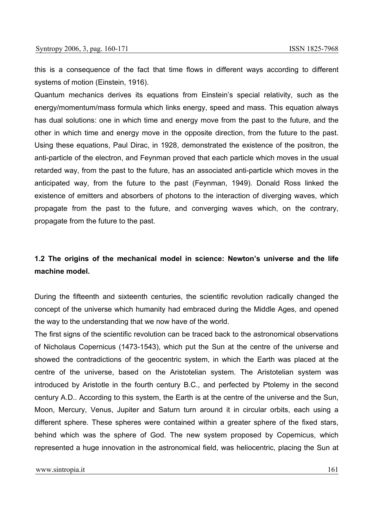this is a consequence of the fact that time flows in different ways according to different systems of motion (Einstein, 1916).

Quantum mechanics derives its equations from Einstein's special relativity, such as the energy/momentum/mass formula which links energy, speed and mass. This equation always has dual solutions: one in which time and energy move from the past to the future, and the other in which time and energy move in the opposite direction, from the future to the past. Using these equations, Paul Dirac, in 1928, demonstrated the existence of the positron, the anti-particle of the electron, and Feynman proved that each particle which moves in the usual retarded way, from the past to the future, has an associated anti-particle which moves in the anticipated way, from the future to the past (Feynman, 1949). Donald Ross linked the existence of emitters and absorbers of photons to the interaction of diverging waves, which propagate from the past to the future, and converging waves which, on the contrary, propagate from the future to the past.

## **1.2 The origins of the mechanical model in science: Newton's universe and the life machine model.**

During the fifteenth and sixteenth centuries, the scientific revolution radically changed the concept of the universe which humanity had embraced during the Middle Ages, and opened the way to the understanding that we now have of the world.

The first signs of the scientific revolution can be traced back to the astronomical observations of Nicholaus Copernicus (1473-1543), which put the Sun at the centre of the universe and showed the contradictions of the geocentric system, in which the Earth was placed at the centre of the universe, based on the Aristotelian system. The Aristotelian system was introduced by Aristotle in the fourth century B.C., and perfected by Ptolemy in the second century A.D.. According to this system, the Earth is at the centre of the universe and the Sun, Moon, Mercury, Venus, Jupiter and Saturn turn around it in circular orbits, each using a different sphere. These spheres were contained within a greater sphere of the fixed stars, behind which was the sphere of God. The new system proposed by Copernicus, which represented a huge innovation in the astronomical field, was heliocentric, placing the Sun at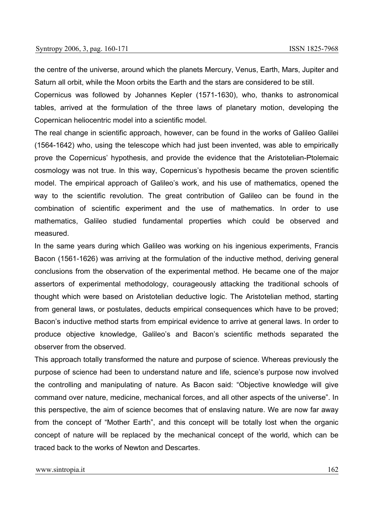the centre of the universe, around which the planets Mercury, Venus, Earth, Mars, Jupiter and Saturn all orbit, while the Moon orbits the Earth and the stars are considered to be still.

Copernicus was followed by Johannes Kepler (1571-1630), who, thanks to astronomical tables, arrived at the formulation of the three laws of planetary motion, developing the Copernican heliocentric model into a scientific model.

The real change in scientific approach, however, can be found in the works of Galileo Galilei (1564-1642) who, using the telescope which had just been invented, was able to empirically prove the Copernicus' hypothesis, and provide the evidence that the Aristotelian-Ptolemaic cosmology was not true. In this way, Copernicus's hypothesis became the proven scientific model. The empirical approach of Galileo's work, and his use of mathematics, opened the way to the scientific revolution. The great contribution of Galileo can be found in the combination of scientific experiment and the use of mathematics. In order to use mathematics, Galileo studied fundamental properties which could be observed and measured.

In the same years during which Galileo was working on his ingenious experiments, Francis Bacon (1561-1626) was arriving at the formulation of the inductive method, deriving general conclusions from the observation of the experimental method. He became one of the major assertors of experimental methodology, courageously attacking the traditional schools of thought which were based on Aristotelian deductive logic. The Aristotelian method, starting from general laws, or postulates, deducts empirical consequences which have to be proved; Bacon's inductive method starts from empirical evidence to arrive at general laws. In order to produce objective knowledge, Galileo's and Bacon's scientific methods separated the observer from the observed.

This approach totally transformed the nature and purpose of science. Whereas previously the purpose of science had been to understand nature and life, science's purpose now involved the controlling and manipulating of nature. As Bacon said: "Objective knowledge will give command over nature, medicine, mechanical forces, and all other aspects of the universe". In this perspective, the aim of science becomes that of enslaving nature. We are now far away from the concept of "Mother Earth", and this concept will be totally lost when the organic concept of nature will be replaced by the mechanical concept of the world, which can be traced back to the works of Newton and Descartes.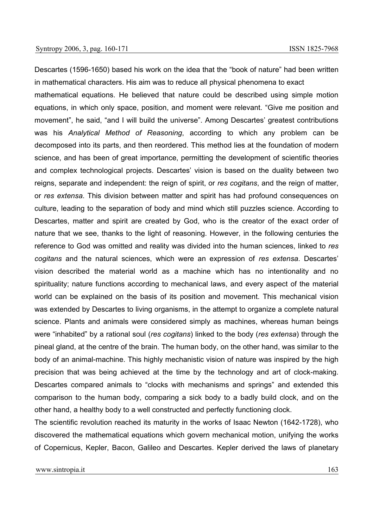Descartes (1596-1650) based his work on the idea that the "book of nature" had been written in mathematical characters. His aim was to reduce all physical phenomena to exact

mathematical equations. He believed that nature could be described using simple motion equations, in which only space, position, and moment were relevant. "Give me position and movement", he said, "and I will build the universe". Among Descartes' greatest contributions was his *Analytical Method of Reasoning*, according to which any problem can be decomposed into its parts, and then reordered. This method lies at the foundation of modern science, and has been of great importance, permitting the development of scientific theories and complex technological projects. Descartes' vision is based on the duality between two reigns, separate and independent: the reign of spirit, or *res cogitans*, and the reign of matter, or *res extensa*. This division between matter and spirit has had profound consequences on culture, leading to the separation of body and mind which still puzzles science. According to Descartes, matter and spirit are created by God, who is the creator of the exact order of nature that we see, thanks to the light of reasoning. However, in the following centuries the reference to God was omitted and reality was divided into the human sciences, linked to *res cogitans* and the natural sciences, which were an expression of *res extensa*. Descartes' vision described the material world as a machine which has no intentionality and no spirituality; nature functions according to mechanical laws, and every aspect of the material world can be explained on the basis of its position and movement. This mechanical vision was extended by Descartes to living organisms, in the attempt to organize a complete natural science. Plants and animals were considered simply as machines, whereas human beings were "inhabited" by a rational soul (*res cogitans*) linked to the body (*res extensa*) through the pineal gland, at the centre of the brain. The human body, on the other hand, was similar to the body of an animal-machine. This highly mechanistic vision of nature was inspired by the high precision that was being achieved at the time by the technology and art of clock-making. Descartes compared animals to "clocks with mechanisms and springs" and extended this comparison to the human body, comparing a sick body to a badly build clock, and on the other hand, a healthy body to a well constructed and perfectly functioning clock.

The scientific revolution reached its maturity in the works of Isaac Newton (1642-1728), who discovered the mathematical equations which govern mechanical motion, unifying the works of Copernicus, Kepler, Bacon, Galileo and Descartes. Kepler derived the laws of planetary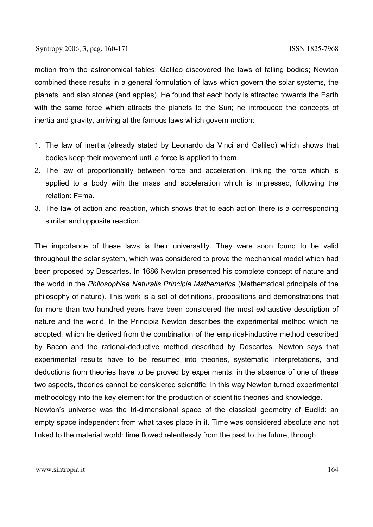motion from the astronomical tables; Galileo discovered the laws of falling bodies; Newton combined these results in a general formulation of laws which govern the solar systems, the planets, and also stones (and apples). He found that each body is attracted towards the Earth with the same force which attracts the planets to the Sun; he introduced the concepts of inertia and gravity, arriving at the famous laws which govern motion:

- 1. The law of inertia (already stated by Leonardo da Vinci and Galileo) which shows that bodies keep their movement until a force is applied to them.
- 2. The law of proportionality between force and acceleration, linking the force which is applied to a body with the mass and acceleration which is impressed, following the relation: F=ma.
- 3. The law of action and reaction, which shows that to each action there is a corresponding similar and opposite reaction.

The importance of these laws is their universality. They were soon found to be valid throughout the solar system, which was considered to prove the mechanical model which had been proposed by Descartes. In 1686 Newton presented his complete concept of nature and the world in the *Philosophiae Naturalis Principia Mathematica* (Mathematical principals of the philosophy of nature). This work is a set of definitions, propositions and demonstrations that for more than two hundred years have been considered the most exhaustive description of nature and the world. In the Principia Newton describes the experimental method which he adopted, which he derived from the combination of the empirical-inductive method described by Bacon and the rational-deductive method described by Descartes. Newton says that experimental results have to be resumed into theories, systematic interpretations, and deductions from theories have to be proved by experiments: in the absence of one of these two aspects, theories cannot be considered scientific. In this way Newton turned experimental methodology into the key element for the production of scientific theories and knowledge. Newton's universe was the tri-dimensional space of the classical geometry of Euclid: an empty space independent from what takes place in it. Time was considered absolute and not linked to the material world: time flowed relentlessly from the past to the future, through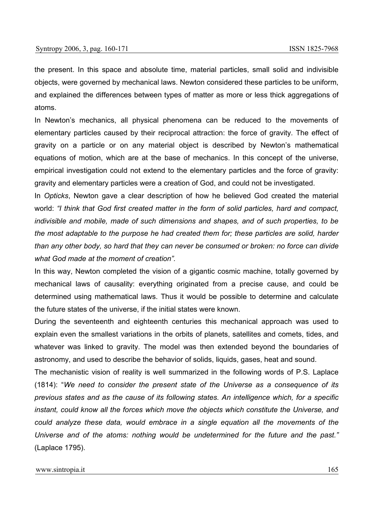the present. In this space and absolute time, material particles, small solid and indivisible objects, were governed by mechanical laws. Newton considered these particles to be uniform, and explained the differences between types of matter as more or less thick aggregations of atoms.

In Newton's mechanics, all physical phenomena can be reduced to the movements of elementary particles caused by their reciprocal attraction: the force of gravity. The effect of gravity on a particle or on any material object is described by Newton's mathematical equations of motion, which are at the base of mechanics. In this concept of the universe, empirical investigation could not extend to the elementary particles and the force of gravity: gravity and elementary particles were a creation of God, and could not be investigated.

In *Opticks*, Newton gave a clear description of how he believed God created the material world: *"I think that God first created matter in the form of solid particles, hard and compact, indivisible and mobile, made of such dimensions and shapes, and of such properties, to be the most adaptable to the purpose he had created them for; these particles are solid, harder than any other body, so hard that they can never be consumed or broken: no force can divide what God made at the moment of creation".* 

In this way, Newton completed the vision of a gigantic cosmic machine, totally governed by mechanical laws of causality: everything originated from a precise cause, and could be determined using mathematical laws. Thus it would be possible to determine and calculate the future states of the universe, if the initial states were known.

During the seventeenth and eighteenth centuries this mechanical approach was used to explain even the smallest variations in the orbits of planets, satellites and comets, tides, and whatever was linked to gravity. The model was then extended beyond the boundaries of astronomy, and used to describe the behavior of solids, liquids, gases, heat and sound.

The mechanistic vision of reality is well summarized in the following words of P.S. Laplace (1814): "*We need to consider the present state of the Universe as a consequence of its previous states and as the cause of its following states. An intelligence which, for a specific instant, could know all the forces which move the objects which constitute the Universe, and could analyze these data, would embrace in a single equation all the movements of the Universe and of the atoms: nothing would be undetermined for the future and the past."* (Laplace 1795).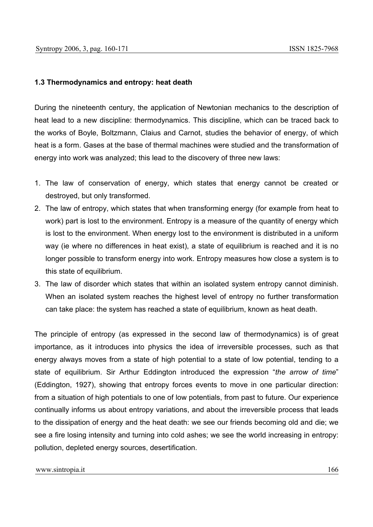### **1.3 Thermodynamics and entropy: heat death**

During the nineteenth century, the application of Newtonian mechanics to the description of heat lead to a new discipline: thermodynamics. This discipline, which can be traced back to the works of Boyle, Boltzmann, Claius and Carnot, studies the behavior of energy, of which heat is a form. Gases at the base of thermal machines were studied and the transformation of energy into work was analyzed; this lead to the discovery of three new laws:

- 1. The law of conservation of energy, which states that energy cannot be created or destroyed, but only transformed.
- 2. The law of entropy, which states that when transforming energy (for example from heat to work) part is lost to the environment. Entropy is a measure of the quantity of energy which is lost to the environment. When energy lost to the environment is distributed in a uniform way (ie where no differences in heat exist), a state of equilibrium is reached and it is no longer possible to transform energy into work. Entropy measures how close a system is to this state of equilibrium.
- 3. The law of disorder which states that within an isolated system entropy cannot diminish. When an isolated system reaches the highest level of entropy no further transformation can take place: the system has reached a state of equilibrium, known as heat death.

The principle of entropy (as expressed in the second law of thermodynamics) is of great importance, as it introduces into physics the idea of irreversible processes, such as that energy always moves from a state of high potential to a state of low potential, tending to a state of equilibrium. Sir Arthur Eddington introduced the expression "*the arrow of time*" (Eddington, 1927), showing that entropy forces events to move in one particular direction: from a situation of high potentials to one of low potentials, from past to future. Our experience continually informs us about entropy variations, and about the irreversible process that leads to the dissipation of energy and the heat death: we see our friends becoming old and die; we see a fire losing intensity and turning into cold ashes; we see the world increasing in entropy: pollution, depleted energy sources, desertification.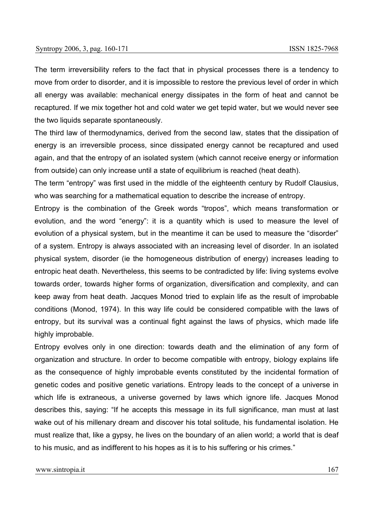The term irreversibility refers to the fact that in physical processes there is a tendency to move from order to disorder, and it is impossible to restore the previous level of order in which all energy was available: mechanical energy dissipates in the form of heat and cannot be recaptured. If we mix together hot and cold water we get tepid water, but we would never see the two liquids separate spontaneously.

The third law of thermodynamics, derived from the second law, states that the dissipation of energy is an irreversible process, since dissipated energy cannot be recaptured and used again, and that the entropy of an isolated system (which cannot receive energy or information from outside) can only increase until a state of equilibrium is reached (heat death).

The term "entropy" was first used in the middle of the eighteenth century by Rudolf Clausius, who was searching for a mathematical equation to describe the increase of entropy.

Entropy is the combination of the Greek words "tropos", which means transformation or evolution, and the word "energy": it is a quantity which is used to measure the level of evolution of a physical system, but in the meantime it can be used to measure the "disorder" of a system. Entropy is always associated with an increasing level of disorder. In an isolated physical system, disorder (ie the homogeneous distribution of energy) increases leading to entropic heat death. Nevertheless, this seems to be contradicted by life: living systems evolve towards order, towards higher forms of organization, diversification and complexity, and can keep away from heat death. Jacques Monod tried to explain life as the result of improbable conditions (Monod, 1974). In this way life could be considered compatible with the laws of entropy, but its survival was a continual fight against the laws of physics, which made life highly improbable.

Entropy evolves only in one direction: towards death and the elimination of any form of organization and structure. In order to become compatible with entropy, biology explains life as the consequence of highly improbable events constituted by the incidental formation of genetic codes and positive genetic variations. Entropy leads to the concept of a universe in which life is extraneous, a universe governed by laws which ignore life. Jacques Monod describes this, saying: "If he accepts this message in its full significance, man must at last wake out of his millenary dream and discover his total solitude, his fundamental isolation. He must realize that, like a gypsy, he lives on the boundary of an alien world; a world that is deaf to his music, and as indifferent to his hopes as it is to his suffering or his crimes."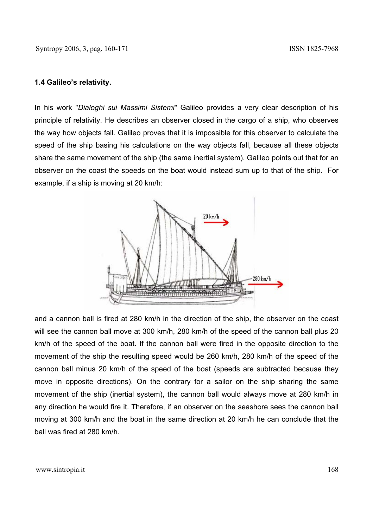#### **1.4 Galileo's relativity.**

In his work "*Dialoghi sui Massimi Sistemi*" Galileo provides a very clear description of his principle of relativity. He describes an observer closed in the cargo of a ship, who observes the way how objects fall. Galileo proves that it is impossible for this observer to calculate the speed of the ship basing his calculations on the way objects fall, because all these objects share the same movement of the ship (the same inertial system). Galileo points out that for an observer on the coast the speeds on the boat would instead sum up to that of the ship. For example, if a ship is moving at 20 km/h:



and a cannon ball is fired at 280 km/h in the direction of the ship, the observer on the coast will see the cannon ball move at 300 km/h, 280 km/h of the speed of the cannon ball plus 20 km/h of the speed of the boat. If the cannon ball were fired in the opposite direction to the movement of the ship the resulting speed would be 260 km/h, 280 km/h of the speed of the cannon ball minus 20 km/h of the speed of the boat (speeds are subtracted because they move in opposite directions). On the contrary for a sailor on the ship sharing the same movement of the ship (inertial system), the cannon ball would always move at 280 km/h in any direction he would fire it. Therefore, if an observer on the seashore sees the cannon ball moving at 300 km/h and the boat in the same direction at 20 km/h he can conclude that the ball was fired at 280 km/h.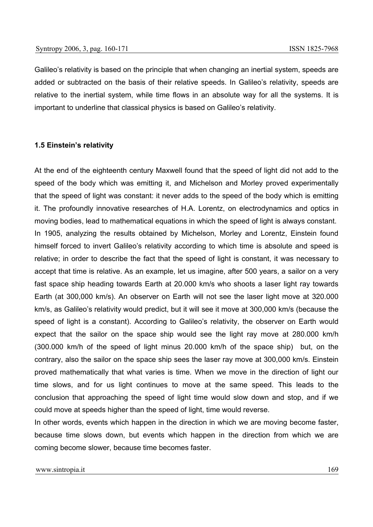Galileo's relativity is based on the principle that when changing an inertial system, speeds are added or subtracted on the basis of their relative speeds. In Galileo's relativity, speeds are relative to the inertial system, while time flows in an absolute way for all the systems. It is important to underline that classical physics is based on Galileo's relativity.

#### **1.5 Einstein's relativity**

At the end of the eighteenth century Maxwell found that the speed of light did not add to the speed of the body which was emitting it, and Michelson and Morley proved experimentally that the speed of light was constant: it never adds to the speed of the body which is emitting it. The profoundly innovative researches of H.A. Lorentz, on electrodynamics and optics in moving bodies, lead to mathematical equations in which the speed of light is always constant.

In 1905, analyzing the results obtained by Michelson, Morley and Lorentz, Einstein found himself forced to invert Galileo's relativity according to which time is absolute and speed is relative; in order to describe the fact that the speed of light is constant, it was necessary to accept that time is relative. As an example, let us imagine, after 500 years, a sailor on a very fast space ship heading towards Earth at 20.000 km/s who shoots a laser light ray towards Earth (at 300,000 km/s). An observer on Earth will not see the laser light move at 320.000 km/s, as Galileo's relativity would predict, but it will see it move at 300,000 km/s (because the speed of light is a constant). According to Galileo's relativity, the observer on Earth would expect that the sailor on the space ship would see the light ray move at 280.000 km/h (300.000 km/h of the speed of light minus 20.000 km/h of the space ship) but, on the contrary, also the sailor on the space ship sees the laser ray move at 300,000 km/s. Einstein proved mathematically that what varies is time. When we move in the direction of light our time slows, and for us light continues to move at the same speed. This leads to the conclusion that approaching the speed of light time would slow down and stop, and if we could move at speeds higher than the speed of light, time would reverse.

In other words, events which happen in the direction in which we are moving become faster, because time slows down, but events which happen in the direction from which we are coming become slower, because time becomes faster.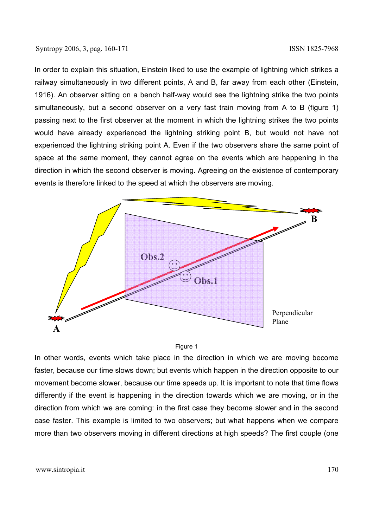In order to explain this situation, Einstein liked to use the example of lightning which strikes a railway simultaneously in two different points, A and B, far away from each other (Einstein, 1916). An observer sitting on a bench half-way would see the lightning strike the two points simultaneously, but a second observer on a very fast train moving from A to B (figure 1) passing next to the first observer at the moment in which the lightning strikes the two points would have already experienced the lightning striking point B, but would not have not experienced the lightning striking point A. Even if the two observers share the same point of space at the same moment, they cannot agree on the events which are happening in the direction in which the second observer is moving. Agreeing on the existence of contemporary events is therefore linked to the speed at which the observers are moving.



#### Figure 1

In other words, events which take place in the direction in which we are moving become faster, because our time slows down; but events which happen in the direction opposite to our movement become slower, because our time speeds up. It is important to note that time flows differently if the event is happening in the direction towards which we are moving, or in the direction from which we are coming: in the first case they become slower and in the second case faster. This example is limited to two observers; but what happens when we compare more than two observers moving in different directions at high speeds? The first couple (one